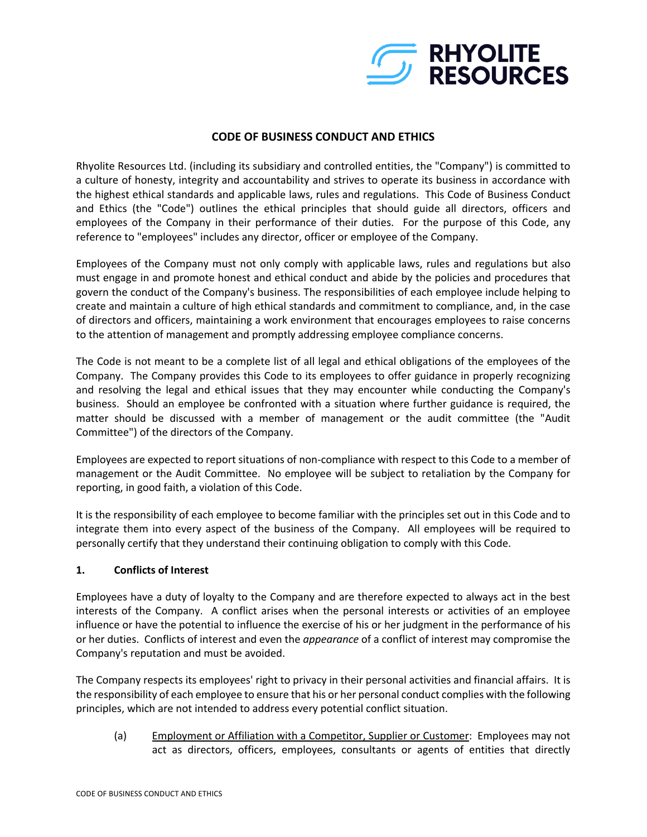

## **CODE OF BUSINESS CONDUCT AND ETHICS**

Rhyolite Resources Ltd. (including its subsidiary and controlled entities, the "Company") is committed to a culture of honesty, integrity and accountability and strives to operate its business in accordance with the highest ethical standards and applicable laws, rules and regulations. This Code of Business Conduct and Ethics (the "Code") outlines the ethical principles that should guide all directors, officers and employees of the Company in their performance of their duties. For the purpose of this Code, any reference to "employees" includes any director, officer or employee of the Company.

Employees of the Company must not only comply with applicable laws, rules and regulations but also must engage in and promote honest and ethical conduct and abide by the policies and procedures that govern the conduct of the Company's business. The responsibilities of each employee include helping to create and maintain a culture of high ethical standards and commitment to compliance, and, in the case of directors and officers, maintaining a work environment that encourages employees to raise concerns to the attention of management and promptly addressing employee compliance concerns.

The Code is not meant to be a complete list of all legal and ethical obligations of the employees of the Company. The Company provides this Code to its employees to offer guidance in properly recognizing and resolving the legal and ethical issues that they may encounter while conducting the Company's business. Should an employee be confronted with a situation where further guidance is required, the matter should be discussed with a member of management or the audit committee (the "Audit Committee") of the directors of the Company.

Employees are expected to report situations of non-compliance with respect to this Code to a member of management or the Audit Committee. No employee will be subject to retaliation by the Company for reporting, in good faith, a violation of this Code.

It is the responsibility of each employee to become familiar with the principles set out in this Code and to integrate them into every aspect of the business of the Company. All employees will be required to personally certify that they understand their continuing obligation to comply with this Code.

### **1. Conflicts of Interest**

Employees have a duty of loyalty to the Company and are therefore expected to always act in the best interests of the Company. A conflict arises when the personal interests or activities of an employee influence or have the potential to influence the exercise of his or her judgment in the performance of his or her duties. Conflicts of interest and even the *appearance* of a conflict of interest may compromise the Company's reputation and must be avoided.

The Company respects its employees' right to privacy in their personal activities and financial affairs. It is the responsibility of each employee to ensure that his or her personal conduct complies with the following principles, which are not intended to address every potential conflict situation.

(a) Employment or Affiliation with a Competitor, Supplier or Customer: Employees may not act as directors, officers, employees, consultants or agents of entities that directly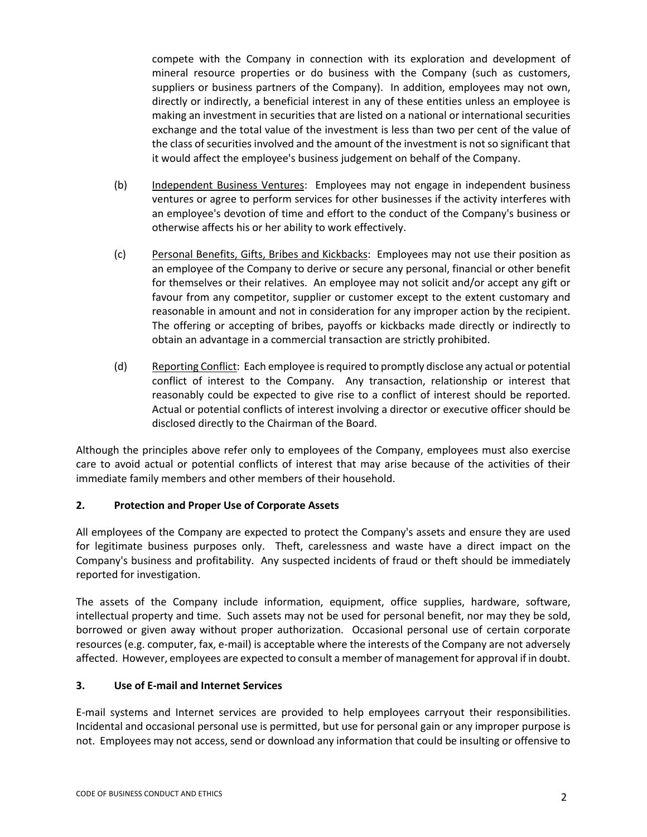compete with the Company in connection with its exploration and development of mineral resource properties or do business with the Company (such as customers, suppliers or business partners of the Company). In addition, employees may not own, directly or indirectly, a beneficial interest in any of these entities unless an employee is making an investment in securities that are listed on a national or international securities exchange and the total value of the investment is less than two per cent of the value of the class of securities involved and the amount of the investment is not so significant that it would affect the employee's business judgement on behalf of the Company.

- (b) Independent Business Ventures: Employees may not engage in independent business ventures or agree to perform services for other businesses if the activity interferes with an employee's devotion of time and effort to the conduct of the Company's business or otherwise affects his or her ability to work effectively.
- (c) Personal Benefits, Gifts, Bribes and Kickbacks: Employees may not use their position as an employee of the Company to derive or secure any personal, financial or other benefit for themselves or their relatives. An employee may not solicit and/or accept any gift or favour from any competitor, supplier or customer except to the extent customary and reasonable in amount and not in consideration for any improper action by the recipient. The offering or accepting of bribes, payoffs or kickbacks made directly or indirectly to obtain an advantage in a commercial transaction are strictly prohibited.
- (d) Reporting Conflict: Each employee is required to promptly disclose any actual or potential conflict of interest to the Company. Any transaction, relationship or interest that reasonably could be expected to give rise to a conflict of interest should be reported. Actual or potential conflicts of interest involving a director or executive officer should be disclosed directly to the Chairman of the Board.

Although the principles above refer only to employees of the Company, employees must also exercise care to avoid actual or potential conflicts of interest that may arise because of the activities of their immediate family members and other members of their household.

## **2. Protection and Proper Use of Corporate Assets**

All employees of the Company are expected to protect the Company's assets and ensure they are used for legitimate business purposes only. Theft, carelessness and waste have a direct impact on the Company's business and profitability. Any suspected incidents of fraud or theft should be immediately reported for investigation.

The assets of the Company include information, equipment, office supplies, hardware, software, intellectual property and time. Such assets may not be used for personal benefit, nor may they be sold, borrowed or given away without proper authorization. Occasional personal use of certain corporate resources (e.g. computer, fax, e-mail) is acceptable where the interests of the Company are not adversely affected. However, employees are expected to consult a member of management for approval if in doubt.

### **3. Use of E-mail and Internet Services**

E-mail systems and Internet services are provided to help employees carryout their responsibilities. Incidental and occasional personal use is permitted, but use for personal gain or any improper purpose is not. Employees may not access, send or download any information that could be insulting or offensive to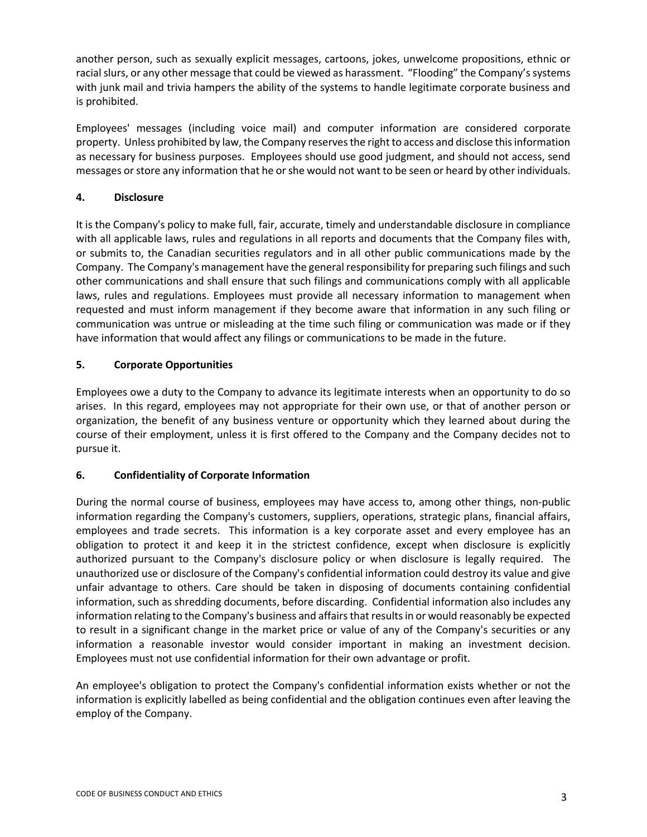another person, such as sexually explicit messages, cartoons, jokes, unwelcome propositions, ethnic or racial slurs, or any other message that could be viewed as harassment. "Flooding" the Company's systems with junk mail and trivia hampers the ability of the systems to handle legitimate corporate business and is prohibited.

Employees' messages (including voice mail) and computer information are considered corporate property. Unless prohibited by law, the Company reserves the right to access and disclose this information as necessary for business purposes. Employees should use good judgment, and should not access, send messages or store any information that he or she would not want to be seen or heard by other individuals.

# **4. Disclosure**

It is the Company's policy to make full, fair, accurate, timely and understandable disclosure in compliance with all applicable laws, rules and regulations in all reports and documents that the Company files with, or submits to, the Canadian securities regulators and in all other public communications made by the Company. The Company's management have the general responsibility for preparing such filings and such other communications and shall ensure that such filings and communications comply with all applicable laws, rules and regulations. Employees must provide all necessary information to management when requested and must inform management if they become aware that information in any such filing or communication was untrue or misleading at the time such filing or communication was made or if they have information that would affect any filings or communications to be made in the future.

## **5. Corporate Opportunities**

Employees owe a duty to the Company to advance its legitimate interests when an opportunity to do so arises. In this regard, employees may not appropriate for their own use, or that of another person or organization, the benefit of any business venture or opportunity which they learned about during the course of their employment, unless it is first offered to the Company and the Company decides not to pursue it.

## **6. Confidentiality of Corporate Information**

During the normal course of business, employees may have access to, among other things, non-public information regarding the Company's customers, suppliers, operations, strategic plans, financial affairs, employees and trade secrets. This information is a key corporate asset and every employee has an obligation to protect it and keep it in the strictest confidence, except when disclosure is explicitly authorized pursuant to the Company's disclosure policy or when disclosure is legally required. The unauthorized use or disclosure of the Company's confidential information could destroy its value and give unfair advantage to others. Care should be taken in disposing of documents containing confidential information, such as shredding documents, before discarding. Confidential information also includes any information relating to the Company's business and affairs that results in or would reasonably be expected to result in a significant change in the market price or value of any of the Company's securities or any information a reasonable investor would consider important in making an investment decision. Employees must not use confidential information for their own advantage or profit.

An employee's obligation to protect the Company's confidential information exists whether or not the information is explicitly labelled as being confidential and the obligation continues even after leaving the employ of the Company.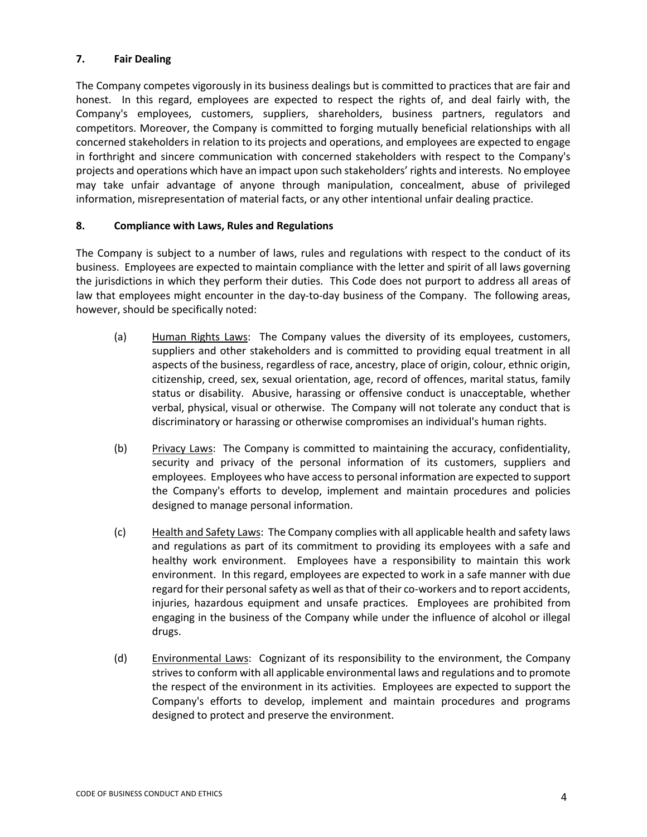### **7. Fair Dealing**

The Company competes vigorously in its business dealings but is committed to practices that are fair and honest. In this regard, employees are expected to respect the rights of, and deal fairly with, the Company's employees, customers, suppliers, shareholders, business partners, regulators and competitors. Moreover, the Company is committed to forging mutually beneficial relationships with all concerned stakeholders in relation to its projects and operations, and employees are expected to engage in forthright and sincere communication with concerned stakeholders with respect to the Company's projects and operations which have an impact upon such stakeholders' rights and interests. No employee may take unfair advantage of anyone through manipulation, concealment, abuse of privileged information, misrepresentation of material facts, or any other intentional unfair dealing practice.

#### **8. Compliance with Laws, Rules and Regulations**

The Company is subject to a number of laws, rules and regulations with respect to the conduct of its business. Employees are expected to maintain compliance with the letter and spirit of all laws governing the jurisdictions in which they perform their duties. This Code does not purport to address all areas of law that employees might encounter in the day-to-day business of the Company. The following areas, however, should be specifically noted:

- (a) Human Rights Laws: The Company values the diversity of its employees, customers, suppliers and other stakeholders and is committed to providing equal treatment in all aspects of the business, regardless of race, ancestry, place of origin, colour, ethnic origin, citizenship, creed, sex, sexual orientation, age, record of offences, marital status, family status or disability. Abusive, harassing or offensive conduct is unacceptable, whether verbal, physical, visual or otherwise. The Company will not tolerate any conduct that is discriminatory or harassing or otherwise compromises an individual's human rights.
- (b) Privacy Laws: The Company is committed to maintaining the accuracy, confidentiality, security and privacy of the personal information of its customers, suppliers and employees. Employees who have access to personal information are expected to support the Company's efforts to develop, implement and maintain procedures and policies designed to manage personal information.
- (c) Health and Safety Laws: The Company complies with all applicable health and safety laws and regulations as part of its commitment to providing its employees with a safe and healthy work environment. Employees have a responsibility to maintain this work environment. In this regard, employees are expected to work in a safe manner with due regard for their personal safety as well as that of their co-workers and to report accidents, injuries, hazardous equipment and unsafe practices. Employees are prohibited from engaging in the business of the Company while under the influence of alcohol or illegal drugs.
- (d) Environmental Laws: Cognizant of its responsibility to the environment, the Company strives to conform with all applicable environmental laws and regulations and to promote the respect of the environment in its activities. Employees are expected to support the Company's efforts to develop, implement and maintain procedures and programs designed to protect and preserve the environment.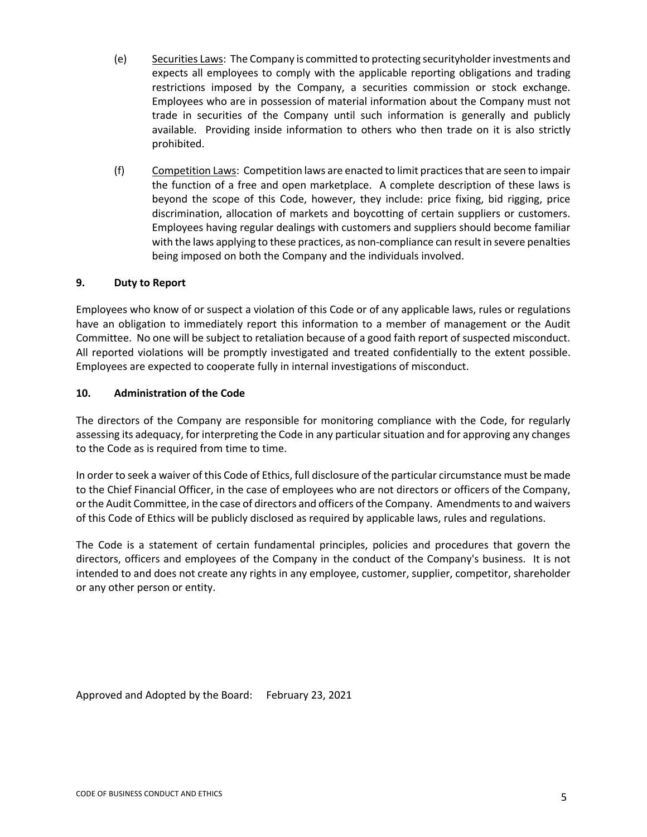- (e) Securities Laws: The Company is committed to protecting securityholder investments and expects all employees to comply with the applicable reporting obligations and trading restrictions imposed by the Company, a securities commission or stock exchange. Employees who are in possession of material information about the Company must not trade in securities of the Company until such information is generally and publicly available. Providing inside information to others who then trade on it is also strictly prohibited.
- (f) Competition Laws: Competition laws are enacted to limit practices that are seen to impair the function of a free and open marketplace. A complete description of these laws is beyond the scope of this Code, however, they include: price fixing, bid rigging, price discrimination, allocation of markets and boycotting of certain suppliers or customers. Employees having regular dealings with customers and suppliers should become familiar with the laws applying to these practices, as non-compliance can result in severe penalties being imposed on both the Company and the individuals involved.

### **9. Duty to Report**

Employees who know of or suspect a violation of this Code or of any applicable laws, rules or regulations have an obligation to immediately report this information to a member of management or the Audit Committee. No one will be subject to retaliation because of a good faith report of suspected misconduct. All reported violations will be promptly investigated and treated confidentially to the extent possible. Employees are expected to cooperate fully in internal investigations of misconduct.

#### **10. Administration of the Code**

The directors of the Company are responsible for monitoring compliance with the Code, for regularly assessing its adequacy, for interpreting the Code in any particular situation and for approving any changes to the Code as is required from time to time.

In order to seek a waiver of this Code of Ethics, full disclosure of the particular circumstance must be made to the Chief Financial Officer, in the case of employees who are not directors or officers of the Company, or the Audit Committee, in the case of directors and officers of the Company. Amendments to and waivers of this Code of Ethics will be publicly disclosed as required by applicable laws, rules and regulations.

The Code is a statement of certain fundamental principles, policies and procedures that govern the directors, officers and employees of the Company in the conduct of the Company's business. It is not intended to and does not create any rights in any employee, customer, supplier, competitor, shareholder or any other person or entity.

Approved and Adopted by the Board: February 23, 2021